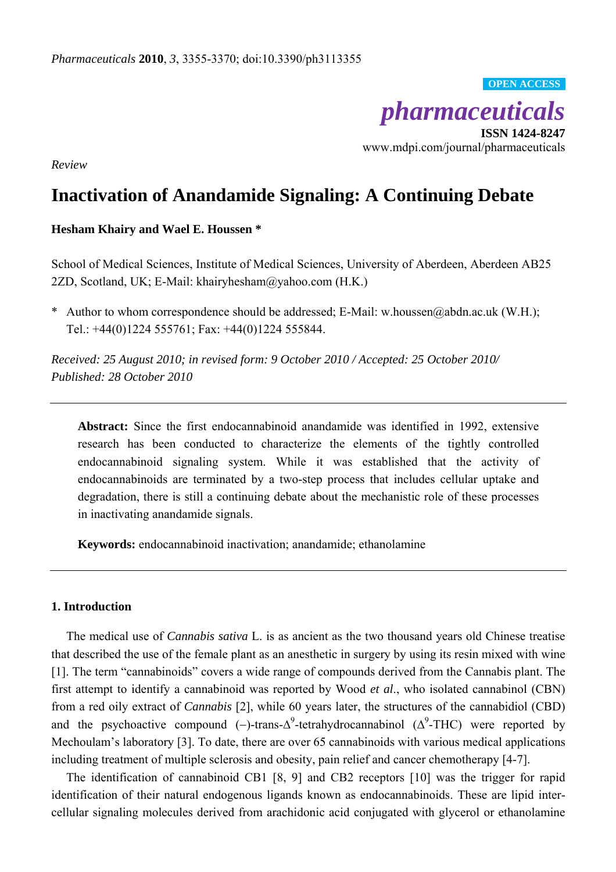*pharmaceuticals*

**OPEN ACCESS**

**ISSN 1424-8247**  www.mdpi.com/journal/pharmaceuticals

*Review* 

# **Inactivation of Anandamide Signaling: A Continuing Debate**

## **Hesham Khairy and Wael E. Houssen \***

School of Medical Sciences, Institute of Medical Sciences, University of Aberdeen, Aberdeen AB25 2ZD, Scotland, UK; E-Mail: khairyhesham@yahoo.com (H.K.)

\* Author to whom correspondence should be addressed; E-Mail: w.houssen@abdn.ac.uk (W.H.); Tel.: +44(0)1224 555761; Fax: +44(0)1224 555844.

*Received: 25 August 2010; in revised form: 9 October 2010 / Accepted: 25 October 2010/ Published: 28 October 2010* 

**Abstract:** Since the first endocannabinoid anandamide was identified in 1992, extensive research has been conducted to characterize the elements of the tightly controlled endocannabinoid signaling system. While it was established that the activity of endocannabinoids are terminated by a two-step process that includes cellular uptake and degradation, there is still a continuing debate about the mechanistic role of these processes in inactivating anandamide signals.

**Keywords:** endocannabinoid inactivation; anandamide; ethanolamine

# **1. Introduction**

The medical use of *Cannabis sativa* L. is as ancient as the two thousand years old Chinese treatise that described the use of the female plant as an anesthetic in surgery by using its resin mixed with wine [1]. The term "cannabinoids" covers a wide range of compounds derived from the Cannabis plant. The first attempt to identify a cannabinoid was reported by Wood *et al*., who isolated cannabinol (CBN) from a red oily extract of *Cannabis* [2], while 60 years later, the structures of the cannabidiol (CBD) and the psychoactive compound (-)-trans- $\Delta^9$ -tetrahydrocannabinol ( $\Delta^9$ -THC) were reported by Mechoulam's laboratory [3]. To date, there are over 65 cannabinoids with various medical applications including treatment of multiple sclerosis and obesity, pain relief and cancer chemotherapy [4-7].

The identification of cannabinoid CB1 [8, 9] and CB2 receptors [10] was the trigger for rapid identification of their natural endogenous ligands known as endocannabinoids. These are lipid intercellular signaling molecules derived from arachidonic acid conjugated with glycerol or ethanolamine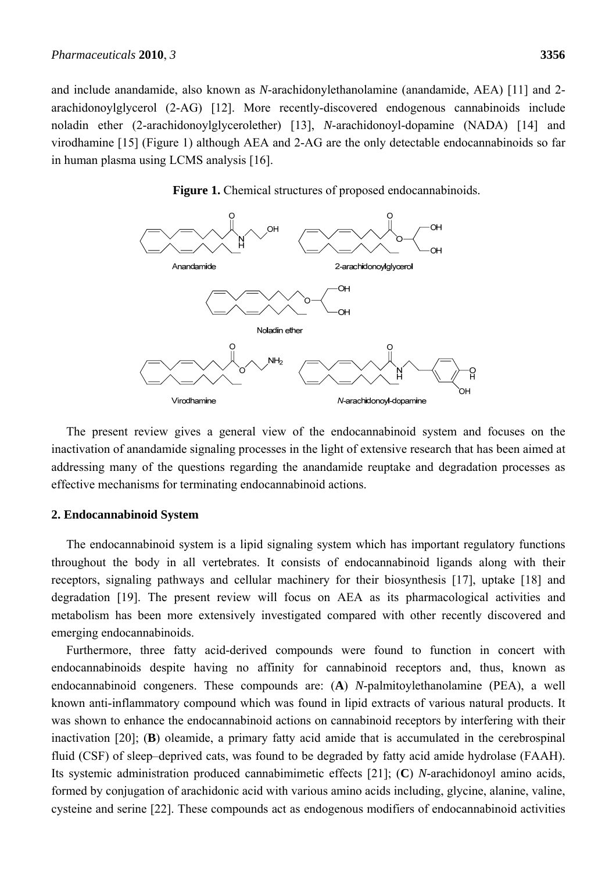and include anandamide, also known as *N*-arachidonylethanolamine (anandamide, AEA) [11] and 2 arachidonoylglycerol (2-AG) [12]. More recently-discovered endogenous cannabinoids include noladin ether (2-arachidonoylglycerolether) [13], *N*-arachidonoyl-dopamine (NADA) [14] and virodhamine [15] (Figure 1) although AEA and 2-AG are the only detectable endocannabinoids so far in human plasma using LCMS analysis [16].

Figure 1. Chemical structures of proposed endocannabinoids.



The present review gives a general view of the endocannabinoid system and focuses on the inactivation of anandamide signaling processes in the light of extensive research that has been aimed at addressing many of the questions regarding the anandamide reuptake and degradation processes as effective mechanisms for terminating endocannabinoid actions.

# **2. Endocannabinoid System**

The endocannabinoid system is a lipid signaling system which has important regulatory functions throughout the body in all vertebrates. It consists of endocannabinoid ligands along with their receptors, signaling pathways and cellular machinery for their biosynthesis [17], uptake [18] and degradation [19]. The present review will focus on AEA as its pharmacological activities and metabolism has been more extensively investigated compared with other recently discovered and emerging endocannabinoids.

Furthermore, three fatty acid-derived compounds were found to function in concert with endocannabinoids despite having no affinity for cannabinoid receptors and, thus, known as endocannabinoid congeners. These compounds are: (**A**) *N*-palmitoylethanolamine (PEA), a well known anti-inflammatory compound which was found in lipid extracts of various natural products. It was shown to enhance the endocannabinoid actions on cannabinoid receptors by interfering with their inactivation [20]; (**B**) oleamide, a primary fatty acid amide that is accumulated in the cerebrospinal fluid (CSF) of sleep–deprived cats, was found to be degraded by fatty acid amide hydrolase (FAAH). Its systemic administration produced cannabimimetic effects [21]; (**C**) *N*-arachidonoyl amino acids, formed by conjugation of arachidonic acid with various amino acids including, glycine, alanine, valine, cysteine and serine [22]. These compounds act as endogenous modifiers of endocannabinoid activities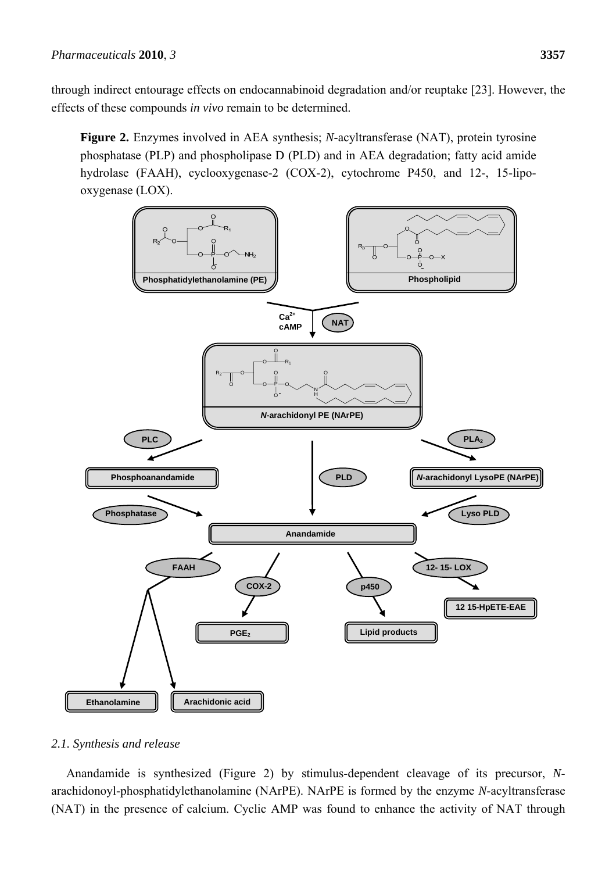**Figure 2.** Enzymes involved in AEA synthesis; *N*-acyltransferase (NAT), protein tyrosine phosphatase (PLP) and phospholipase D (PLD) and in AEA degradation; fatty acid amide hydrolase (FAAH), cyclooxygenase-2 (COX-2), cytochrome P450, and 12-, 15-lipooxygenase (LOX).



# *2.1. Synthesis and release*

Anandamide is synthesized (Figure 2) by stimulus-dependent cleavage of its precursor, *N*arachidonoyl-phosphatidylethanolamine (NArPE). NArPE is formed by the enzyme *N*-acyltransferase (NAT) in the presence of calcium. Cyclic AMP was found to enhance the activity of NAT through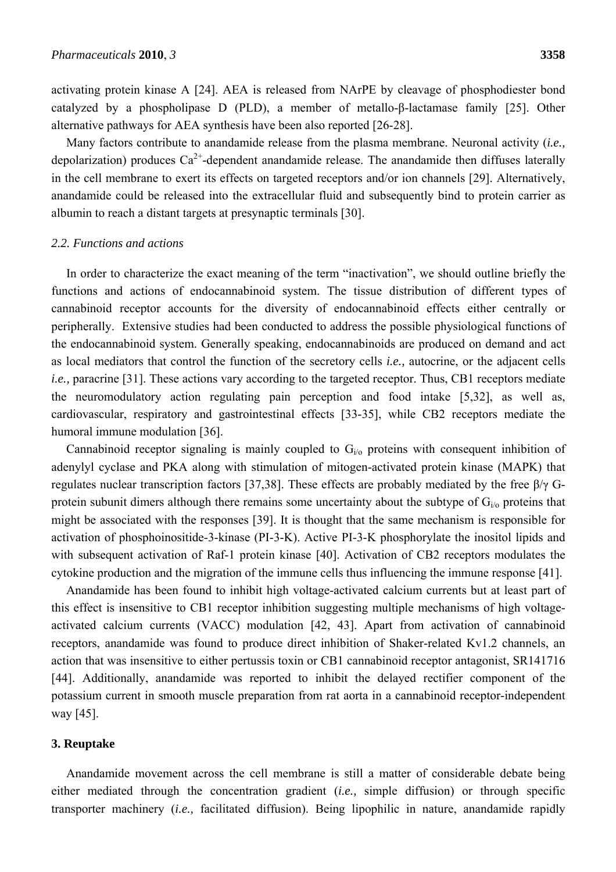activating protein kinase A [24]. AEA is released from NArPE by cleavage of phosphodiester bond catalyzed by a phospholipase D (PLD), a member of metallo-β-lactamase family [25]. Other alternative pathways for AEA synthesis have been also reported [26-28].

Many factors contribute to anandamide release from the plasma membrane. Neuronal activity (*i.e.,* depolarization) produces  $Ca^{2+}$ -dependent anandamide release. The anandamide then diffuses laterally in the cell membrane to exert its effects on targeted receptors and/or ion channels [29]. Alternatively, anandamide could be released into the extracellular fluid and subsequently bind to protein carrier as albumin to reach a distant targets at presynaptic terminals [30].

#### *2.2. Functions and actions*

In order to characterize the exact meaning of the term "inactivation", we should outline briefly the functions and actions of endocannabinoid system. The tissue distribution of different types of cannabinoid receptor accounts for the diversity of endocannabinoid effects either centrally or peripherally. Extensive studies had been conducted to address the possible physiological functions of the endocannabinoid system. Generally speaking, endocannabinoids are produced on demand and act as local mediators that control the function of the secretory cells *i.e.,* autocrine, or the adjacent cells *i.e.*, paracrine [31]. These actions vary according to the targeted receptor. Thus, CB1 receptors mediate the neuromodulatory action regulating pain perception and food intake [5,32], as well as, cardiovascular, respiratory and gastrointestinal effects [33-35], while CB2 receptors mediate the humoral immune modulation [36].

Cannabinoid receptor signaling is mainly coupled to  $G_{i,o}$  proteins with consequent inhibition of adenylyl cyclase and PKA along with stimulation of mitogen-activated protein kinase (MAPK) that regulates nuclear transcription factors [37,38]. These effects are probably mediated by the free β/γ Gprotein subunit dimers although there remains some uncertainty about the subtype of  $G_{i/0}$  proteins that might be associated with the responses [39]. It is thought that the same mechanism is responsible for activation of phosphoinositide-3-kinase (PI-3-K). Active PI-3-K phosphorylate the inositol lipids and with subsequent activation of Raf-1 protein kinase [40]. Activation of CB2 receptors modulates the cytokine production and the migration of the immune cells thus influencing the immune response [41].

Anandamide has been found to inhibit high voltage-activated calcium currents but at least part of this effect is insensitive to CB1 receptor inhibition suggesting multiple mechanisms of high voltageactivated calcium currents (VACC) modulation [42, 43]. Apart from activation of cannabinoid receptors, anandamide was found to produce direct inhibition of Shaker-related Kv1.2 channels, an action that was insensitive to either pertussis toxin or CB1 cannabinoid receptor antagonist, SR141716 [44]. Additionally, anandamide was reported to inhibit the delayed rectifier component of the potassium current in smooth muscle preparation from rat aorta in a cannabinoid receptor-independent way [45].

#### **3. Reuptake**

Anandamide movement across the cell membrane is still a matter of considerable debate being either mediated through the concentration gradient (*i.e.,* simple diffusion) or through specific transporter machinery (*i.e.,* facilitated diffusion). Being lipophilic in nature, anandamide rapidly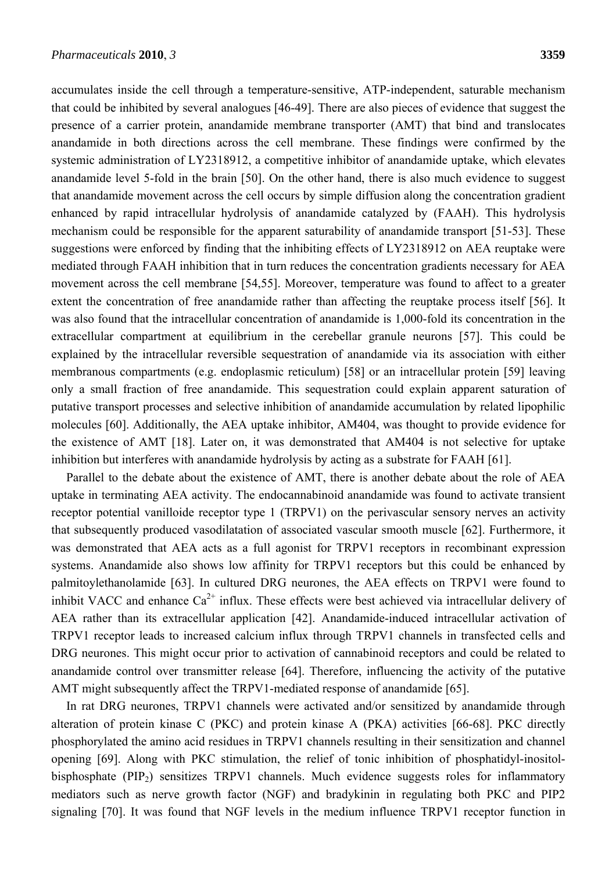accumulates inside the cell through a temperature-sensitive, ATP-independent, saturable mechanism that could be inhibited by several analogues [46-49]. There are also pieces of evidence that suggest the presence of a carrier protein, anandamide membrane transporter (AMT) that bind and translocates anandamide in both directions across the cell membrane. These findings were confirmed by the systemic administration of LY2318912, a competitive inhibitor of anandamide uptake, which elevates anandamide level 5-fold in the brain [50]. On the other hand, there is also much evidence to suggest that anandamide movement across the cell occurs by simple diffusion along the concentration gradient enhanced by rapid intracellular hydrolysis of anandamide catalyzed by (FAAH). This hydrolysis mechanism could be responsible for the apparent saturability of anandamide transport [51-53]. These suggestions were enforced by finding that the inhibiting effects of LY2318912 on AEA reuptake were mediated through FAAH inhibition that in turn reduces the concentration gradients necessary for AEA movement across the cell membrane [54,55]. Moreover, temperature was found to affect to a greater extent the concentration of free anandamide rather than affecting the reuptake process itself [56]. It was also found that the intracellular concentration of anandamide is 1,000-fold its concentration in the extracellular compartment at equilibrium in the cerebellar granule neurons [57]. This could be explained by the intracellular reversible sequestration of anandamide via its association with either membranous compartments (e.g. endoplasmic reticulum) [58] or an intracellular protein [59] leaving only a small fraction of free anandamide. This sequestration could explain apparent saturation of putative transport processes and selective inhibition of anandamide accumulation by related lipophilic molecules [60]. Additionally, the AEA uptake inhibitor, AM404, was thought to provide evidence for the existence of AMT [18]. Later on, it was demonstrated that AM404 is not selective for uptake inhibition but interferes with anandamide hydrolysis by acting as a substrate for FAAH [61].

Parallel to the debate about the existence of AMT, there is another debate about the role of AEA uptake in terminating AEA activity. The endocannabinoid anandamide was found to activate transient receptor potential vanilloide receptor type 1 (TRPV1) on the perivascular sensory nerves an activity that subsequently produced vasodilatation of associated vascular smooth muscle [62]. Furthermore, it was demonstrated that AEA acts as a full agonist for TRPV1 receptors in recombinant expression systems. Anandamide also shows low affinity for TRPV1 receptors but this could be enhanced by palmitoylethanolamide [63]. In cultured DRG neurones, the AEA effects on TRPV1 were found to inhibit VACC and enhance  $Ca^{2+}$  influx. These effects were best achieved via intracellular delivery of AEA rather than its extracellular application [42]. Anandamide-induced intracellular activation of TRPV1 receptor leads to increased calcium influx through TRPV1 channels in transfected cells and DRG neurones. This might occur prior to activation of cannabinoid receptors and could be related to anandamide control over transmitter release [64]. Therefore, influencing the activity of the putative AMT might subsequently affect the TRPV1-mediated response of anandamide [65].

In rat DRG neurones, TRPV1 channels were activated and/or sensitized by anandamide through alteration of protein kinase C (PKC) and protein kinase A (PKA) activities [66-68]. PKC directly phosphorylated the amino acid residues in TRPV1 channels resulting in their sensitization and channel opening [69]. Along with PKC stimulation, the relief of tonic inhibition of phosphatidyl-inositolbisphosphate (PIP<sub>2</sub>) sensitizes TRPV1 channels. Much evidence suggests roles for inflammatory mediators such as nerve growth factor (NGF) and bradykinin in regulating both PKC and PIP2 signaling [70]. It was found that NGF levels in the medium influence TRPV1 receptor function in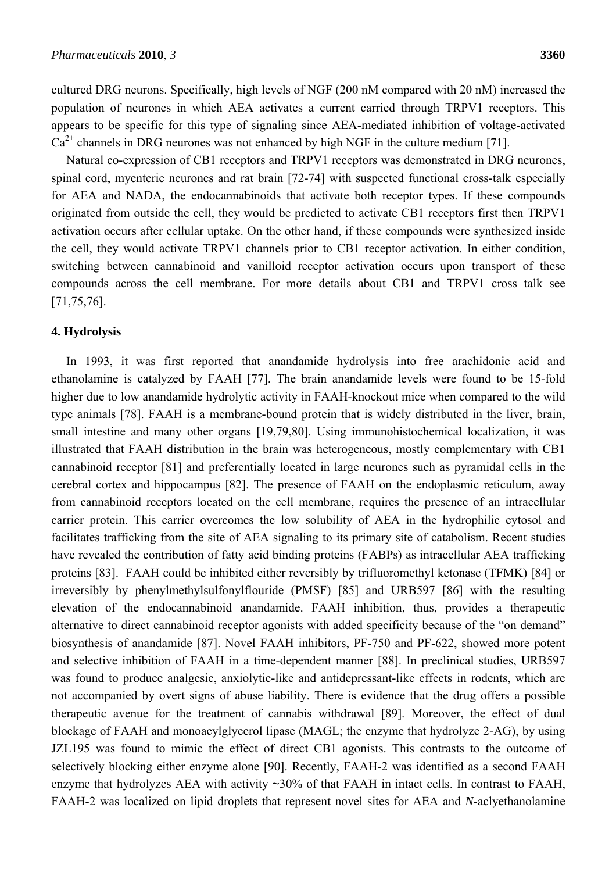cultured DRG neurons. Specifically, high levels of NGF (200 nM compared with 20 nM) increased the population of neurones in which AEA activates a current carried through TRPV1 receptors. This appears to be specific for this type of signaling since AEA-mediated inhibition of voltage-activated  $Ca<sup>2+</sup>$  channels in DRG neurones was not enhanced by high NGF in the culture medium [71].

Natural co-expression of CB1 receptors and TRPV1 receptors was demonstrated in DRG neurones, spinal cord, myenteric neurones and rat brain [72-74] with suspected functional cross-talk especially for AEA and NADA, the endocannabinoids that activate both receptor types. If these compounds originated from outside the cell, they would be predicted to activate CB1 receptors first then TRPV1 activation occurs after cellular uptake. On the other hand, if these compounds were synthesized inside the cell, they would activate TRPV1 channels prior to CB1 receptor activation. In either condition, switching between cannabinoid and vanilloid receptor activation occurs upon transport of these compounds across the cell membrane. For more details about CB1 and TRPV1 cross talk see [71,75,76].

# **4. Hydrolysis**

In 1993, it was first reported that anandamide hydrolysis into free arachidonic acid and ethanolamine is catalyzed by FAAH [77]. The brain anandamide levels were found to be 15-fold higher due to low anandamide hydrolytic activity in FAAH-knockout mice when compared to the wild type animals [78]. FAAH is a membrane-bound protein that is widely distributed in the liver, brain, small intestine and many other organs [19,79,80]. Using immunohistochemical localization, it was illustrated that FAAH distribution in the brain was heterogeneous, mostly complementary with CB1 cannabinoid receptor [81] and preferentially located in large neurones such as pyramidal cells in the cerebral cortex and hippocampus [82]. The presence of FAAH on the endoplasmic reticulum, away from cannabinoid receptors located on the cell membrane, requires the presence of an intracellular carrier protein. This carrier overcomes the low solubility of AEA in the hydrophilic cytosol and facilitates trafficking from the site of AEA signaling to its primary site of catabolism. Recent studies have revealed the contribution of fatty acid binding proteins (FABPs) as intracellular AEA trafficking proteins [83]. FAAH could be inhibited either reversibly by trifluoromethyl ketonase (TFMK) [84] or irreversibly by phenylmethylsulfonylflouride (PMSF) [85] and URB597 [86] with the resulting elevation of the endocannabinoid anandamide. FAAH inhibition, thus, provides a therapeutic alternative to direct cannabinoid receptor agonists with added specificity because of the "on demand" biosynthesis of anandamide [87]. Novel FAAH inhibitors, PF-750 and PF-622, showed more potent and selective inhibition of FAAH in a time-dependent manner [88]. In preclinical studies, URB597 was found to produce analgesic, anxiolytic-like and antidepressant-like effects in rodents, which are not accompanied by overt signs of abuse liability. There is evidence that the drug offers a possible therapeutic avenue for the treatment of cannabis withdrawal [89]. Moreover, the effect of dual blockage of FAAH and monoacylglycerol lipase (MAGL; the enzyme that hydrolyze 2-AG), by using JZL195 was found to mimic the effect of direct CB1 agonists. This contrasts to the outcome of selectively blocking either enzyme alone [90]. Recently, FAAH-2 was identified as a second FAAH enzyme that hydrolyzes AEA with activity  $\sim$ 30% of that FAAH in intact cells. In contrast to FAAH, FAAH-2 was localized on lipid droplets that represent novel sites for AEA and *N*-aclyethanolamine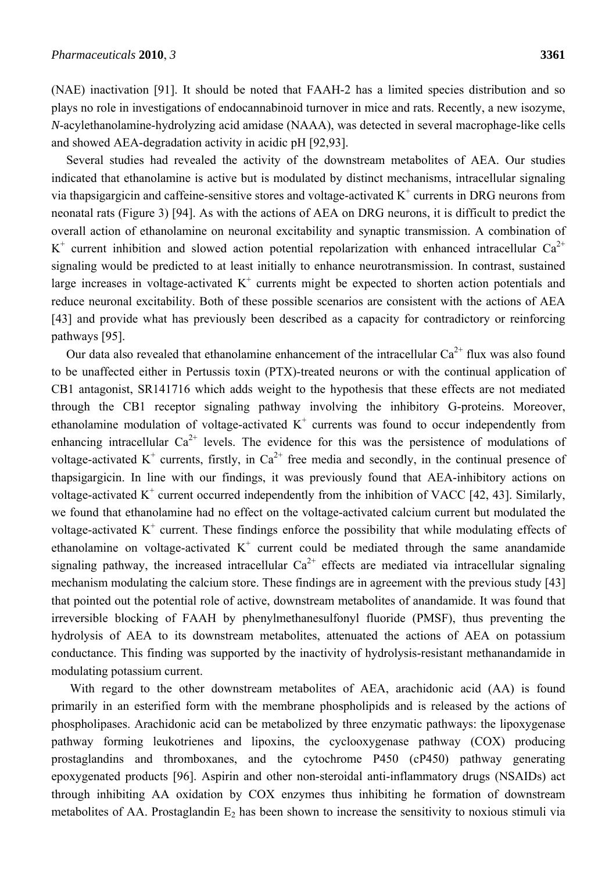(NAE) inactivation [91]. It should be noted that FAAH-2 has a limited species distribution and so plays no role in investigations of endocannabinoid turnover in mice and rats. Recently, a new isozyme, *N*-acylethanolamine-hydrolyzing acid amidase (NAAA), was detected in several macrophage-like cells and showed AEA-degradation activity in acidic pH [92,93].

Several studies had revealed the activity of the downstream metabolites of AEA. Our studies indicated that ethanolamine is active but is modulated by distinct mechanisms, intracellular signaling via thapsigargicin and caffeine-sensitive stores and voltage-activated  $K^+$  currents in DRG neurons from neonatal rats (Figure 3) [94]. As with the actions of AEA on DRG neurons, it is difficult to predict the overall action of ethanolamine on neuronal excitability and synaptic transmission. A combination of  $K^+$  current inhibition and slowed action potential repolarization with enhanced intracellular Ca<sup>2+</sup> signaling would be predicted to at least initially to enhance neurotransmission. In contrast, sustained large increases in voltage-activated  $K^+$  currents might be expected to shorten action potentials and reduce neuronal excitability. Both of these possible scenarios are consistent with the actions of AEA [43] and provide what has previously been described as a capacity for contradictory or reinforcing pathways [95].

Our data also revealed that ethanolamine enhancement of the intracellular  $Ca^{2+}$  flux was also found to be unaffected either in Pertussis toxin (PTX)-treated neurons or with the continual application of CB1 antagonist, SR141716 which adds weight to the hypothesis that these effects are not mediated through the CB1 receptor signaling pathway involving the inhibitory G-proteins. Moreover, ethanolamine modulation of voltage-activated  $K^+$  currents was found to occur independently from enhancing intracellular  $Ca^{2+}$  levels. The evidence for this was the persistence of modulations of voltage-activated K<sup>+</sup> currents, firstly, in  $Ca^{2+}$  free media and secondly, in the continual presence of thapsigargicin. In line with our findings, it was previously found that AEA-inhibitory actions on voltage-activated  $K^+$  current occurred independently from the inhibition of VACC [42, 43]. Similarly, we found that ethanolamine had no effect on the voltage-activated calcium current but modulated the voltage-activated  $K^+$  current. These findings enforce the possibility that while modulating effects of ethanolamine on voltage-activated  $K^+$  current could be mediated through the same anandamide signaling pathway, the increased intracellular  $Ca^{2+}$  effects are mediated via intracellular signaling mechanism modulating the calcium store. These findings are in agreement with the previous study [43] that pointed out the potential role of active, downstream metabolites of anandamide. It was found that irreversible blocking of FAAH by phenylmethanesulfonyl fluoride (PMSF), thus preventing the hydrolysis of AEA to its downstream metabolites, attenuated the actions of AEA on potassium conductance. This finding was supported by the inactivity of hydrolysis-resistant methanandamide in modulating potassium current.

With regard to the other downstream metabolites of AEA, arachidonic acid (AA) is found primarily in an esterified form with the membrane phospholipids and is released by the actions of phospholipases. Arachidonic acid can be metabolized by three enzymatic pathways: the lipoxygenase pathway forming leukotrienes and lipoxins, the cyclooxygenase pathway (COX) producing prostaglandins and thromboxanes, and the cytochrome P450 (cP450) pathway generating epoxygenated products [96]. Aspirin and other non-steroidal anti-inflammatory drugs (NSAIDs) act through inhibiting AA oxidation by COX enzymes thus inhibiting he formation of downstream metabolites of AA. Prostaglandin  $E_2$  has been shown to increase the sensitivity to noxious stimuli via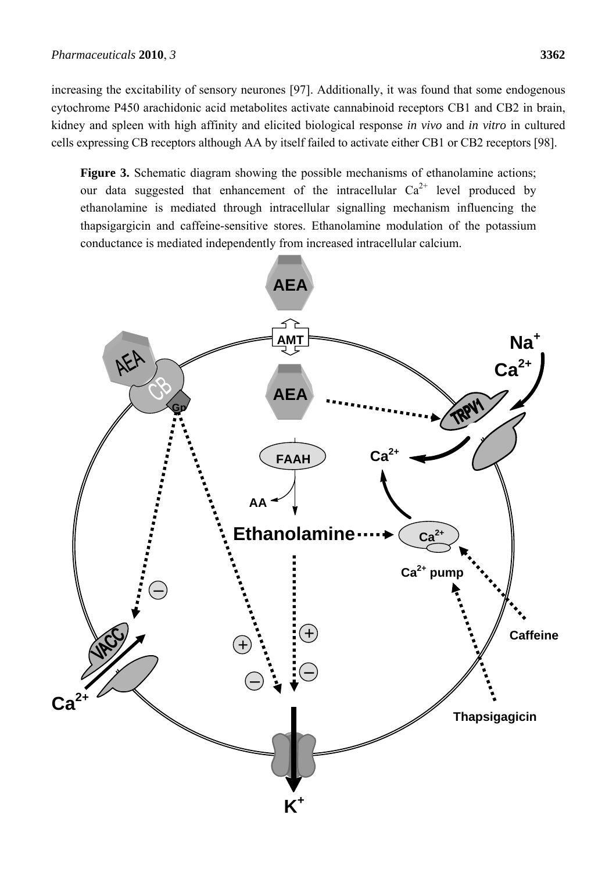increasing the excitability of sensory neurones [97]. Additionally, it was found that some endogenous cytochrome P450 arachidonic acid metabolites activate cannabinoid receptors CB1 and CB2 in brain, kidney and spleen with high affinity and elicited biological response *in vivo* and *in vitro* in cultured cells expressing CB receptors although AA by itself failed to activate either CB1 or CB2 receptors [98].

Figure 3. Schematic diagram showing the possible mechanisms of ethanolamine actions; our data suggested that enhancement of the intracellular  $Ca^{2+}$  level produced by ethanolamine is mediated through intracellular signalling mechanism influencing the thapsigargicin and caffeine-sensitive stores. Ethanolamine modulation of the potassium conductance is mediated independently from increased intracellular calcium.

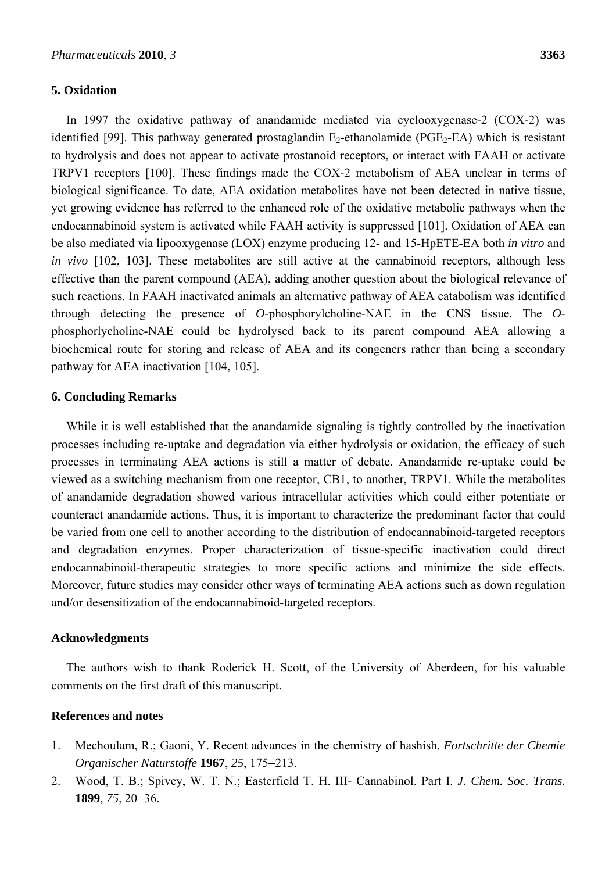# **5. Oxidation**

In 1997 the oxidative pathway of anandamide mediated via cyclooxygenase-2 (COX-2) was identified [99]. This pathway generated prostaglandin  $E_2$ -ethanolamide (PGE<sub>2</sub>-EA) which is resistant to hydrolysis and does not appear to activate prostanoid receptors, or interact with FAAH or activate TRPV1 receptors [100]. These findings made the COX-2 metabolism of AEA unclear in terms of biological significance. To date, AEA oxidation metabolites have not been detected in native tissue, yet growing evidence has referred to the enhanced role of the oxidative metabolic pathways when the endocannabinoid system is activated while FAAH activity is suppressed [101]. Oxidation of AEA can be also mediated via lipooxygenase (LOX) enzyme producing 12- and 15-HpETE-EA both *in vitro* and *in vivo* [102, 103]. These metabolites are still active at the cannabinoid receptors, although less effective than the parent compound (AEA), adding another question about the biological relevance of such reactions. In FAAH inactivated animals an alternative pathway of AEA catabolism was identified through detecting the presence of *O*-phosphorylcholine-NAE in the CNS tissue. The *O*phosphorlycholine-NAE could be hydrolysed back to its parent compound AEA allowing a biochemical route for storing and release of AEA and its congeners rather than being a secondary pathway for AEA inactivation [104, 105].

# **6. Concluding Remarks**

While it is well established that the anandamide signaling is tightly controlled by the inactivation processes including re-uptake and degradation via either hydrolysis or oxidation, the efficacy of such processes in terminating AEA actions is still a matter of debate. Anandamide re-uptake could be viewed as a switching mechanism from one receptor, CB1, to another, TRPV1. While the metabolites of anandamide degradation showed various intracellular activities which could either potentiate or counteract anandamide actions. Thus, it is important to characterize the predominant factor that could be varied from one cell to another according to the distribution of endocannabinoid-targeted receptors and degradation enzymes. Proper characterization of tissue-specific inactivation could direct endocannabinoid-therapeutic strategies to more specific actions and minimize the side effects. Moreover, future studies may consider other ways of terminating AEA actions such as down regulation and/or desensitization of the endocannabinoid-targeted receptors.

# **Acknowledgments**

The authors wish to thank Roderick H. Scott, of the University of Aberdeen, for his valuable comments on the first draft of this manuscript.

## **References and notes**

- 1. Mechoulam, R.; Gaoni, Y. Recent advances in the chemistry of hashish. *Fortschritte der Chemie Organischer Naturstoffe* **1967**, 25, 175–213.
- 2. Wood, T. B.; Spivey, W. T. N.; Easterfield T. H. III- Cannabinol. Part I. *J. Chem. Soc. Trans.* **1899**, 75, 20–36.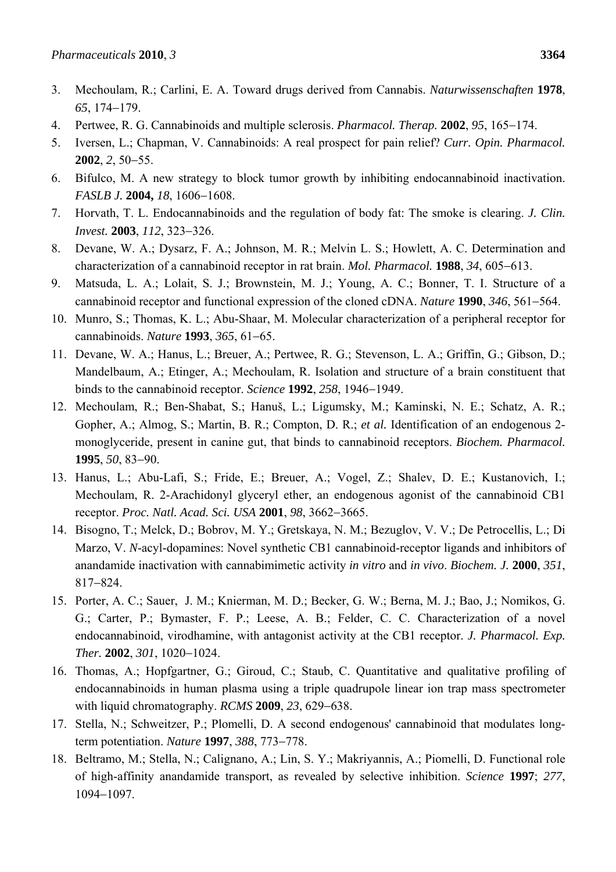- 3. Mechoulam, R.; Carlini, E. A. Toward drugs derived from Cannabis. *Naturwissenschaften* **1978**, 65, 174–179.
- 4. Pertwee, R. G. Cannabinoids and multiple sclerosis. *Pharmacol. Therap.* **2002**, 95, 165–174.
- 5. Iversen, L.; Chapman, V. Cannabinoids: A real prospect for pain relief? *Curr. Opin. Pharmacol.* **2002**, **2**, 50–55.
- 6. Bifulco, M. A new strategy to block tumor growth by inhibiting endocannabinoid inactivation. *FASLB J.* **2004,** 18, 1606-1608.
- 7. Horvath, T. L. Endocannabinoids and the regulation of body fat: The smoke is clearing. *J. Clin. Invest.* **2003**, *112*, 323-326.
- 8. Devane, W. A.; Dysarz, F. A.; Johnson, M. R.; Melvin L. S.; Howlett, A. C. Determination and characterization of a cannabinoid receptor in rat brain. *Mol. Pharmacol.* **1988**, 34, 605–613.
- 9. Matsuda, L. A.; Lolait, S. J.; Brownstein, M. J.; Young, A. C.; Bonner, T. I. Structure of a cannabinoid receptor and functional expression of the cloned cDNA. *Nature* 1990, 346, 561–564.
- 10. Munro, S.; Thomas, K. L.; Abu-Shaar, M. Molecular characterization of a peripheral receptor for cannabinoids. *Nature* **1993**, 365, 61-65.
- 11. Devane, W. A.; Hanus, L.; Breuer, A.; Pertwee, R. G.; Stevenson, L. A.; Griffin, G.; Gibson, D.; Mandelbaum, A.; Etinger, A.; Mechoulam, R. Isolation and structure of a brain constituent that binds to the cannabinoid receptor. *Science* 1992, 258, 1946-1949.
- 12. Mechoulam, R.; Ben-Shabat, S.; Hanuš, L.; Ligumsky, M.; Kaminski, N. E.; Schatz, A. R.; Gopher, A.; Almog, S.; Martin, B. R.; Compton, D. R.; *et al.* Identification of an endogenous 2 monoglyceride, present in canine gut, that binds to cannabinoid receptors. *Biochem. Pharmacol.* **1995**, *50*, 83-90.
- 13. Hanus, L.; Abu-Lafi, S.; Fride, E.; Breuer, A.; Vogel, Z.; Shalev, D. E.; Kustanovich, I.; Mechoulam, R. 2-Arachidonyl glyceryl ether, an endogenous agonist of the cannabinoid CB1 receptor. *Proc. Natl. Acad. Sci. USA* **2001**, *98*, 3662-3665.
- 14. Bisogno, T.; Melck, D.; Bobrov, M. Y.; Gretskaya, N. M.; Bezuglov, V. V.; De Petrocellis, L.; Di Marzo, V. *N*-acyl-dopamines: Novel synthetic CB1 cannabinoid-receptor ligands and inhibitors of anandamide inactivation with cannabimimetic activity *in vitro* and *in vivo*. *Biochem. J.* **2000**, *351*, 817-824.
- 15. Porter, A. C.; Sauer, J. M.; Knierman, M. D.; Becker, G. W.; Berna, M. J.; Bao, J.; Nomikos, G. G.; Carter, P.; Bymaster, F. P.; Leese, A. B.; Felder, C. C. Characterization of a novel endocannabinoid, virodhamine, with antagonist activity at the CB1 receptor. *J. Pharmacol. Exp. Ther.* **2002**, *301*, 1020-1024.
- 16. Thomas, A.; Hopfgartner, G.; Giroud, C.; Staub, C. Quantitative and qualitative profiling of endocannabinoids in human plasma using a triple quadrupole linear ion trap mass spectrometer with liquid chromatography. *RCMS* **2009**, 23, 629–638.
- 17. Stella, N.; Schweitzer, P.; Plomelli, D. A second endogenous' cannabinoid that modulates longterm potentiation. *Nature* **1997**, 388, 773-778.
- 18. Beltramo, M.; Stella, N.; Calignano, A.; Lin, S. Y.; Makriyannis, A.; Piomelli, D. Functional role of high-affinity anandamide transport, as revealed by selective inhibition. *Science* **1997**; *277*, 1094-1097.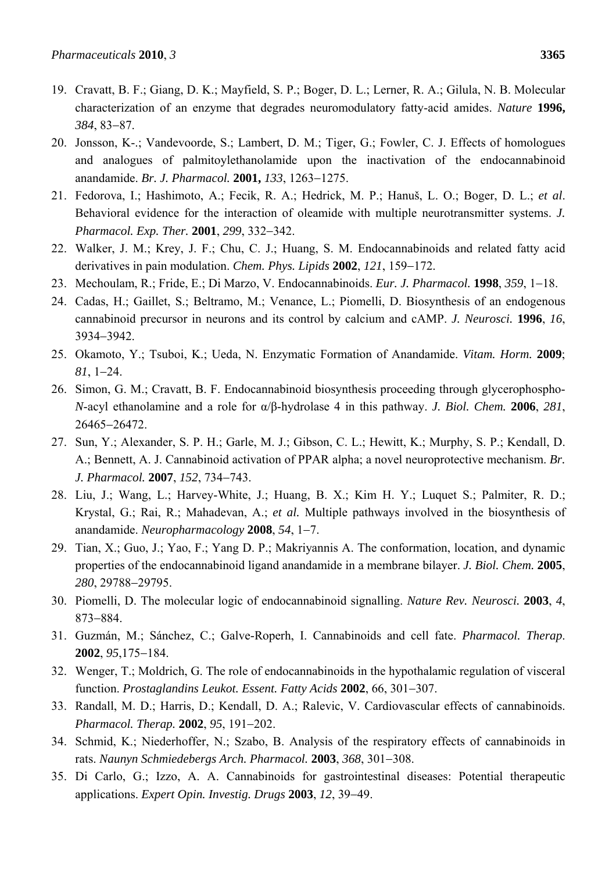- 19. Cravatt, B. F.; Giang, D. K.; Mayfield, S. P.; Boger, D. L.; Lerner, R. A.; Gilula, N. B. Molecular characterization of an enzyme that degrades neuromodulatory fatty-acid amides. *Nature* **1996,** *384*, 83-87.
- 20. Jonsson, K-.; Vandevoorde, S.; Lambert, D. M.; Tiger, G.; Fowler, C. J. Effects of homologues and analogues of palmitoylethanolamide upon the inactivation of the endocannabinoid anandamide. *Br. J. Pharmacol.* **2001,** 133, 1263-1275.
- 21. Fedorova, I.; Hashimoto, A.; Fecik, R. A.; Hedrick, M. P.; Hanuš, L. O.; Boger, D. L.; *et al*. Behavioral evidence for the interaction of oleamide with multiple neurotransmitter systems. *J. Pharmacol. Exp. Ther.* **2001**, 299, 332-342.
- 22. Walker, J. M.; Krey, J. F.; Chu, C. J.; Huang, S. M. Endocannabinoids and related fatty acid derivatives in pain modulation. *Chem. Phys. Lipids* 2002, 121, 159–172.
- 23. Mechoulam, R.; Fride, E.; Di Marzo, V. Endocannabinoids. *Eur. J. Pharmacol.* **1998**, 359, 1–18.
- 24. Cadas, H.; Gaillet, S.; Beltramo, M.; Venance, L.; Piomelli, D. Biosynthesis of an endogenous cannabinoid precursor in neurons and its control by calcium and cAMP. *J. Neurosci.* **1996**, *16*, 39343942.
- 25. Okamoto, Y.; Tsuboi, K.; Ueda, N. Enzymatic Formation of Anandamide. *Vitam. Horm.* **2009**; *81*, 124.
- 26. Simon, G. M.; Cravatt, B. F. Endocannabinoid biosynthesis proceeding through glycerophospho-*N*-acyl ethanolamine and a role for α/β-hydrolase 4 in this pathway. *J. Biol. Chem.* **2006**, *281*, 2646526472.
- 27. Sun, Y.; Alexander, S. P. H.; Garle, M. J.; Gibson, C. L.; Hewitt, K.; Murphy, S. P.; Kendall, D. A.; Bennett, A. J. Cannabinoid activation of PPAR alpha; a novel neuroprotective mechanism. *Br. J. Pharmacol.* **2007**, *152*, 734-743.
- 28. Liu, J.; Wang, L.; Harvey-White, J.; Huang, B. X.; Kim H. Y.; Luquet S.; Palmiter, R. D.; Krystal, G.; Rai, R.; Mahadevan, A.; *et al.* Multiple pathways involved in the biosynthesis of anandamide. *Neuropharmacology* **2008**, *54*, 17.
- 29. Tian, X.; Guo, J.; Yao, F.; Yang D. P.; Makriyannis A. The conformation, location, and dynamic properties of the endocannabinoid ligand anandamide in a membrane bilayer. *J. Biol. Chem.* **2005**, 280, 29788-29795.
- 30. Piomelli, D. The molecular logic of endocannabinoid signalling. *Nature Rev. Neurosci.* **2003**, *4*, 873-884.
- 31. Guzmán, M.; Sánchez, C.; Galve-Roperh, I. Cannabinoids and cell fate. *Pharmacol. Therap*. **2002**, 95,175-184.
- 32. Wenger, T.; Moldrich, G. The role of endocannabinoids in the hypothalamic regulation of visceral function. *Prostaglandins Leukot. Essent. Fatty Acids* 2002, 66, 301-307.
- 33. Randall, M. D.; Harris, D.; Kendall, D. A.; Ralevic, V. Cardiovascular effects of cannabinoids. *Pharmacol. Therap.* **2002**, 95, 191-202.
- 34. Schmid, K.; Niederhoffer, N.; Szabo, B. Analysis of the respiratory effects of cannabinoids in rats. *Naunyn Schmiedebergs Arch. Pharmacol.* **2003**, 368, 301-308.
- 35. Di Carlo, G.; Izzo, A. A. Cannabinoids for gastrointestinal diseases: Potential therapeutic applications. *Expert Opin. Investig. Drugs* 2003, 12, 39-49.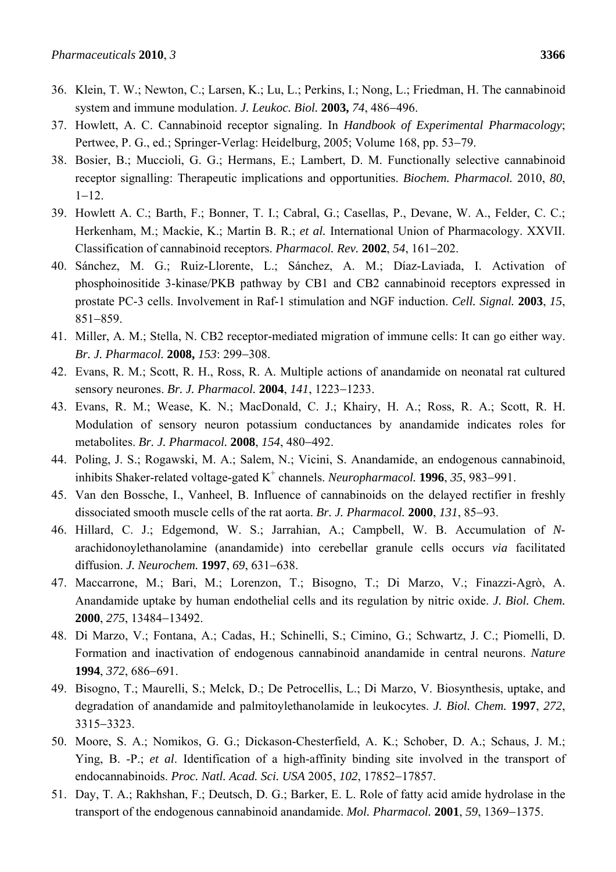- 36. Klein, T. W.; Newton, C.; Larsen, K.; Lu, L.; Perkins, I.; Nong, L.; Friedman, H. The cannabinoid system and immune modulation. *J. Leukoc. Biol.* 2003, 74, 486–496.
- 37. Howlett, A. C. Cannabinoid receptor signaling. In *Handbook of Experimental Pharmacology*; Pertwee, P. G., ed.; Springer-Verlag: Heidelburg, 2005; Volume 168, pp. 53–79.
- 38. Bosier, B.; Muccioli, G. G.; Hermans, E.; Lambert, D. M. Functionally selective cannabinoid receptor signalling: Therapeutic implications and opportunities. *Biochem. Pharmacol.* 2010, *80*,  $1 - 12$ .
- 39. Howlett A. C.; Barth, F.; Bonner, T. I.; Cabral, G.; Casellas, P., Devane, W. A., Felder, C. C.; Herkenham, M.; Mackie, K.; Martin B. R.; *et al.* International Union of Pharmacology. XXVII. Classification of cannabinoid receptors. *Pharmacol. Rev.* 2002, 54, 161–202.
- 40. Sánchez, M. G.; Ruiz-Llorente, L.; Sánchez, A. M.; Díaz-Laviada, I. Activation of phosphoinositide 3-kinase/PKB pathway by CB1 and CB2 cannabinoid receptors expressed in prostate PC-3 cells. Involvement in Raf-1 stimulation and NGF induction. *Cell. Signal.* **2003**, *15*, 851-859.
- 41. Miller, A. M.; Stella, N. CB2 receptor-mediated migration of immune cells: It can go either way. *Br. J. Pharmacol.* **2008,** 153: 299-308.
- 42. Evans, R. M.; Scott, R. H., Ross, R. A. Multiple actions of anandamide on neonatal rat cultured sensory neurones. *Br. J. Pharmacol.* **2004**, *141*, 1223–1233.
- 43. Evans, R. M.; Wease, K. N.; MacDonald, C. J.; Khairy, H. A.; Ross, R. A.; Scott, R. H. Modulation of sensory neuron potassium conductances by anandamide indicates roles for metabolites. *Br. J. Pharmacol.* **2008**, *154*, 480-492.
- 44. Poling, J. S.; Rogawski, M. A.; Salem, N.; Vicini, S. Anandamide, an endogenous cannabinoid, inhibits Shaker-related voltage-gated  $K^+$  channels. *Neuropharmacol*. **1996**, 35, 983–991.
- 45. Van den Bossche, I., Vanheel, B. Influence of cannabinoids on the delayed rectifier in freshly dissociated smooth muscle cells of the rat aorta. *Br. J. Pharmacol.* **2000**, *131*, 85–93.
- 46. Hillard, C. J.; Edgemond, W. S.; Jarrahian, A.; Campbell, W. B. Accumulation of *N*arachidonoylethanolamine (anandamide) into cerebellar granule cells occurs *via* facilitated diffusion. *J. Neurochem.* **1997**, 69, 631-638.
- 47. Maccarrone, M.; Bari, M.; Lorenzon, T.; Bisogno, T.; Di Marzo, V.; Finazzi-Agrò, A. Anandamide uptake by human endothelial cells and its regulation by nitric oxide. *J. Biol. Chem.* **2000**, 275, 13484-13492.
- 48. Di Marzo, V.; Fontana, A.; Cadas, H.; Schinelli, S.; Cimino, G.; Schwartz, J. C.; Piomelli, D. Formation and inactivation of endogenous cannabinoid anandamide in central neurons. *Nature* **1994**, 372, 686-691.
- 49. Bisogno, T.; Maurelli, S.; Melck, D.; De Petrocellis, L.; Di Marzo, V. Biosynthesis, uptake, and degradation of anandamide and palmitoylethanolamide in leukocytes. *J. Biol. Chem.* **1997**, *272*, 3315-3323.
- 50. Moore, S. A.; Nomikos, G. G.; Dickason-Chesterfield, A. K.; Schober, D. A.; Schaus, J. M.; Ying, B. -P.; *et al*. Identification of a high-affinity binding site involved in the transport of endocannabinoids. *Proc. Natl. Acad. Sci. USA* 2005, 102, 17852-17857.
- 51. Day, T. A.; Rakhshan, F.; Deutsch, D. G.; Barker, E. L. Role of fatty acid amide hydrolase in the transport of the endogenous cannabinoid anandamide. *Mol. Pharmacol.* **2001**, 59, 1369–1375.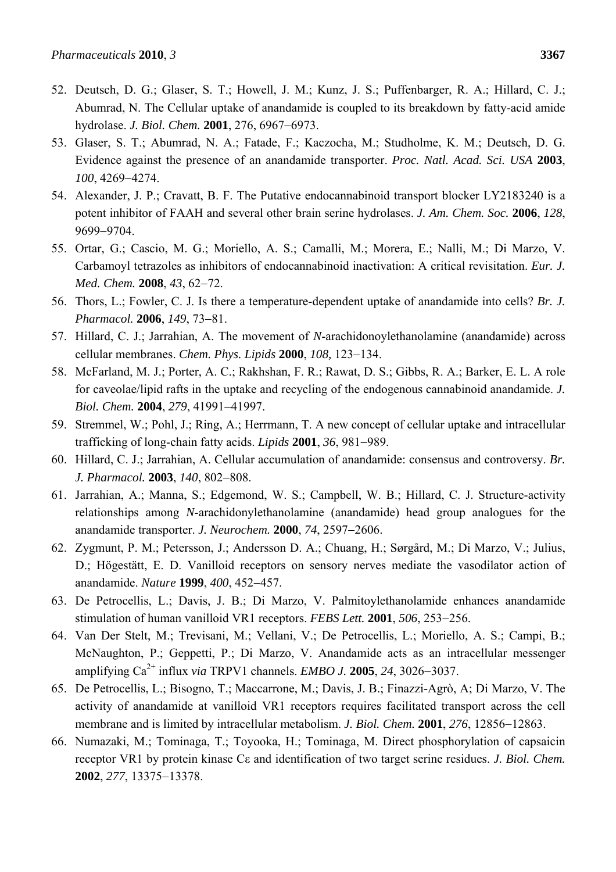- 52. Deutsch, D. G.; Glaser, S. T.; Howell, J. M.; Kunz, J. S.; Puffenbarger, R. A.; Hillard, C. J.; Abumrad, N. The Cellular uptake of anandamide is coupled to its breakdown by fatty-acid amide hydrolase. *J. Biol. Chem.* 2001, 276, 6967-6973.
- 53. Glaser, S. T.; Abumrad, N. A.; Fatade, F.; Kaczocha, M.; Studholme, K. M.; Deutsch, D. G. Evidence against the presence of an anandamide transporter. *Proc. Natl. Acad. Sci. USA* **2003**, *100*, 4269-4274.
- 54. Alexander, J. P.; Cravatt, B. F. The Putative endocannabinoid transport blocker LY2183240 is a potent inhibitor of FAAH and several other brain serine hydrolases. *J. Am. Chem. Soc.* **2006**, *128*, 9699-9704.
- 55. Ortar, G.; Cascio, M. G.; Moriello, A. S.; Camalli, M.; Morera, E.; Nalli, M.; Di Marzo, V. Carbamoyl tetrazoles as inhibitors of endocannabinoid inactivation: A critical revisitation. *Eur. J. Med. Chem.* **2008**, 43, 62-72.
- 56. Thors, L.; Fowler, C. J. Is there a temperature-dependent uptake of anandamide into cells? *Br. J. Pharmacol.* **2006**, *149*, 73-81.
- 57. Hillard, C. J.; Jarrahian, A. The movement of *N*-arachidonoylethanolamine (anandamide) across cellular membranes. *Chem. Phys. Lipids* **2000**, *108*, 123-134.
- 58. McFarland, M. J.; Porter, A. C.; Rakhshan, F. R.; Rawat, D. S.; Gibbs, R. A.; Barker, E. L. A role for caveolae/lipid rafts in the uptake and recycling of the endogenous cannabinoid anandamide. *J. Biol. Chem.* 2004, 279, 41991-41997.
- 59. Stremmel, W.; Pohl, J.; Ring, A.; Herrmann, T. A new concept of cellular uptake and intracellular trafficking of long-chain fatty acids. *Lipids* 2001, 36, 981-989.
- 60. Hillard, C. J.; Jarrahian, A. Cellular accumulation of anandamide: consensus and controversy. *Br. J. Pharmacol.* **2003**, *140*, 802-808.
- 61. Jarrahian, A.; Manna, S.; Edgemond, W. S.; Campbell, W. B.; Hillard, C. J. Structure-activity relationships among *N*-arachidonylethanolamine (anandamide) head group analogues for the anandamide transporter. *J. Neurochem.* **2000**, 74, 2597-2606.
- 62. Zygmunt, P. M.; Petersson, J.; Andersson D. A.; Chuang, H.; Sørgård, M.; Di Marzo, V.; Julius, D.; Högestätt, E. D. Vanilloid receptors on sensory nerves mediate the vasodilator action of anandamide. *Nature* 1999, 400, 452-457.
- 63. De Petrocellis, L.; Davis, J. B.; Di Marzo, V. Palmitoylethanolamide enhances anandamide stimulation of human vanilloid VR1 receptors. *FEBS Lett.* **2001**, *506*, 253–256.
- 64. Van Der Stelt, M.; Trevisani, M.; Vellani, V.; De Petrocellis, L.; Moriello, A. S.; Campi, B.; McNaughton, P.; Geppetti, P.; Di Marzo, V. Anandamide acts as an intracellular messenger amplifying  $Ca^{2+}$  influx *via* TRPV1 channels. *EMBO J*. **2005**, 24, 3026-3037.
- 65. De Petrocellis, L.; Bisogno, T.; Maccarrone, M.; Davis, J. B.; Finazzi-Agrò, A; Di Marzo, V. The activity of anandamide at vanilloid VR1 receptors requires facilitated transport across the cell membrane and is limited by intracellular metabolism. *J. Biol. Chem.* **2001**, 276, 12856-12863.
- 66. Numazaki, M.; Tominaga, T.; Toyooka, H.; Tominaga, M. Direct phosphorylation of capsaicin receptor VR1 by protein kinase Cε and identification of two target serine residues. *J. Biol. Chem.* **2002**, 277, 13375-13378.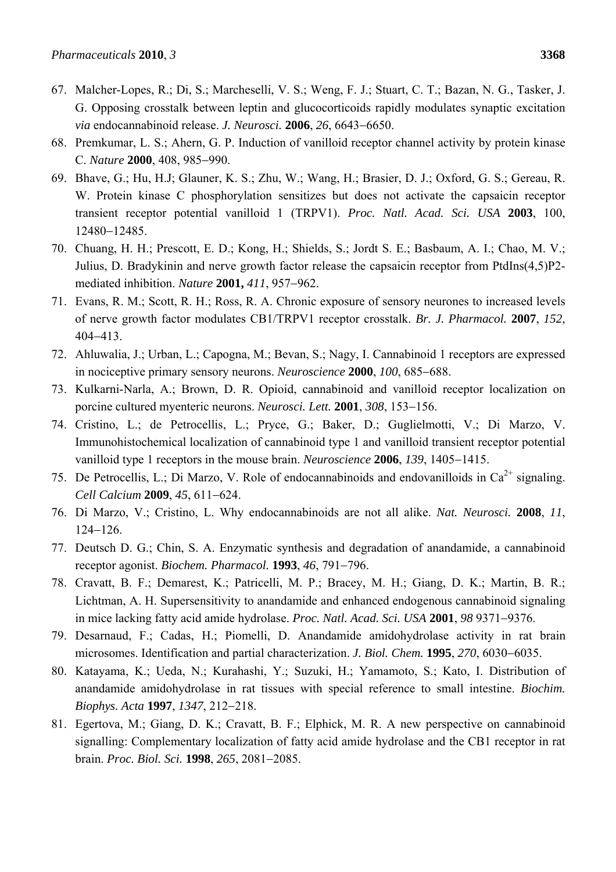- 67. Malcher-Lopes, R.; Di, S.; Marcheselli, V. S.; Weng, F. J.; Stuart, C. T.; Bazan, N. G., Tasker, J. G. Opposing crosstalk between leptin and glucocorticoids rapidly modulates synaptic excitation *via* endocannabinoid release. *J. Neurosci.* **2006**, 26, 6643-6650.
- 68. Premkumar, L. S.; Ahern, G. P. Induction of vanilloid receptor channel activity by protein kinase C. *Nature* **2000**, 408, 985-990.
- 69. Bhave, G.; Hu, H.J; Glauner, K. S.; Zhu, W.; Wang, H.; Brasier, D. J.; Oxford, G. S.; Gereau, R. W. Protein kinase C phosphorylation sensitizes but does not activate the capsaicin receptor transient receptor potential vanilloid 1 (TRPV1). *Proc. Natl. Acad. Sci. USA* **2003**, 100, 12480-12485.
- 70. Chuang, H. H.; Prescott, E. D.; Kong, H.; Shields, S.; Jordt S. E.; Basbaum, A. I.; Chao, M. V.; Julius, D. Bradykinin and nerve growth factor release the capsaicin receptor from PtdIns(4,5)P2 mediated inhibition. *Nature* 2001, 411, 957-962.
- 71. Evans, R. M.; Scott, R. H.; Ross, R. A. Chronic exposure of sensory neurones to increased levels of nerve growth factor modulates CB1/TRPV1 receptor crosstalk. *Br. J. Pharmacol.* **2007**, *152*, 404413.
- 72. Ahluwalia, J.; Urban, L.; Capogna, M.; Bevan, S.; Nagy, I. Cannabinoid 1 receptors are expressed in nociceptive primary sensory neurons. *Neuroscience* **2000**, *100*, 685–688.
- 73. Kulkarni-Narla, A.; Brown, D. R. Opioid, cannabinoid and vanilloid receptor localization on porcine cultured myenteric neurons. *Neurosci. Lett.* **2001**, 308, 153-156.
- 74. Cristino, L.; de Petrocellis, L.; Pryce, G.; Baker, D.; Guglielmotti, V.; Di Marzo, V. Immunohistochemical localization of cannabinoid type 1 and vanilloid transient receptor potential vanilloid type 1 receptors in the mouse brain. *Neuroscience* **2006**, 139, 1405–1415.
- 75. De Petrocellis, L.; Di Marzo, V. Role of endocannabinoids and endovanilloids in  $Ca^{2+}$  signaling. *Cell Calcium* 2009, 45, 611-624.
- 76. Di Marzo, V.; Cristino, L. Why endocannabinoids are not all alike. *Nat. Neurosci.* **2008**, *11*,  $124 - 126$ .
- 77. Deutsch D. G.; Chin, S. A. Enzymatic synthesis and degradation of anandamide, a cannabinoid receptor agonist. *Biochem. Pharmacol.* **1993**, *46*, 791–796.
- 78. Cravatt, B. F.; Demarest, K.; Patricelli, M. P.; Bracey, M. H.; Giang, D. K.; Martin, B. R.; Lichtman, A. H. Supersensitivity to anandamide and enhanced endogenous cannabinoid signaling in mice lacking fatty acid amide hydrolase. *Proc. Natl. Acad. Sci. USA* 2001, 98 9371–9376.
- 79. Desarnaud, F.; Cadas, H.; Piomelli, D. Anandamide amidohydrolase activity in rat brain microsomes. Identification and partial characterization. *J. Biol. Chem.* **1995**, 270, 6030–6035.
- 80. Katayama, K.; Ueda, N.; Kurahashi, Y.; Suzuki, H.; Yamamoto, S.; Kato, I. Distribution of anandamide amidohydrolase in rat tissues with special reference to small intestine. *Biochim. Biophys. Acta* **1997**, *1347*, 212-218.
- 81. Egertova, M.; Giang, D. K.; Cravatt, B. F.; Elphick, M. R. A new perspective on cannabinoid signalling: Complementary localization of fatty acid amide hydrolase and the CB1 receptor in rat brain. *Proc. Biol. Sci.* **1998**, 265, 2081-2085.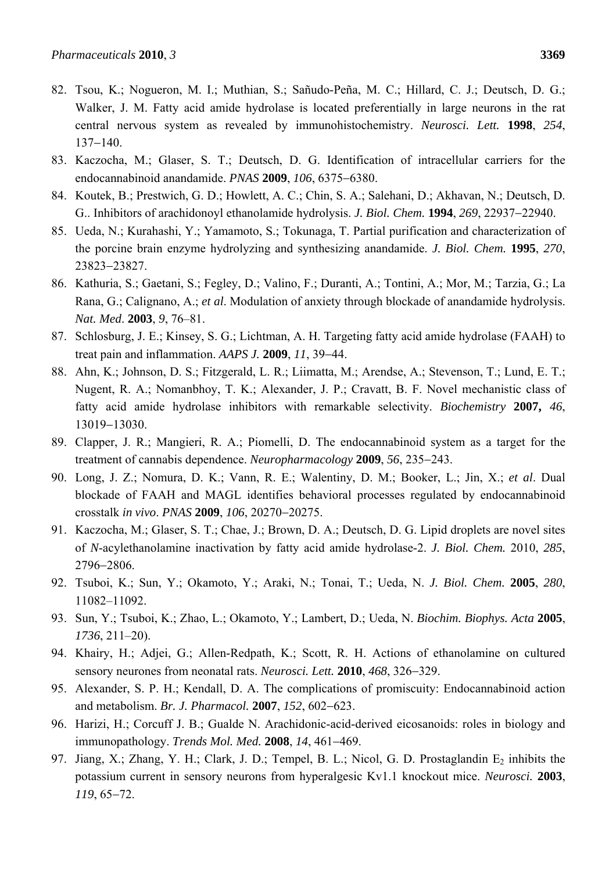- Walker, J. M. Fatty acid amide hydrolase is located preferentially in large neurons in the rat central nervous system as revealed by immunohistochemistry. *Neurosci. Lett.* **1998**, *254*,  $137 - 140$ .
- 83. Kaczocha, M.; Glaser, S. T.; Deutsch, D. G. Identification of intracellular carriers for the endocannabinoid anandamide. *PNAS* 2009, 106, 6375-6380.
- 84. Koutek, B.; Prestwich, G. D.; Howlett, A. C.; Chin, S. A.; Salehani, D.; Akhavan, N.; Deutsch, D. G.. Inhibitors of arachidonoyl ethanolamide hydrolysis. *J. Biol. Chem.* **1994**, 269, 22937–22940.
- 85. Ueda, N.; Kurahashi, Y.; Yamamoto, S.; Tokunaga, T. Partial purification and characterization of the porcine brain enzyme hydrolyzing and synthesizing anandamide. *J. Biol. Chem.* **1995**, *270*, 23823-23827.
- 86. Kathuria, S.; Gaetani, S.; Fegley, D.; Valino, F.; Duranti, A.; Tontini, A.; Mor, M.; Tarzia, G.; La Rana, G.; Calignano, A.; *et al*. Modulation of anxiety through blockade of anandamide hydrolysis. *Nat. Med*. **2003**, *9*, 76–81.
- 87. Schlosburg, J. E.; Kinsey, S. G.; Lichtman, A. H. Targeting fatty acid amide hydrolase (FAAH) to treat pain and inflammation. *AAPS J.* **2009**, *11*, 39–44.
- 88. Ahn, K.; Johnson, D. S.; Fitzgerald, L. R.; Liimatta, M.; Arendse, A.; Stevenson, T.; Lund, E. T.; Nugent, R. A.; Nomanbhoy, T. K.; Alexander, J. P.; Cravatt, B. F. Novel mechanistic class of fatty acid amide hydrolase inhibitors with remarkable selectivity. *Biochemistry* **2007,** *46*, 13019-13030.
- 89. Clapper, J. R.; Mangieri, R. A.; Piomelli, D. The endocannabinoid system as a target for the treatment of cannabis dependence. *Neuropharmacology* **2009**, 56, 235–243.
- 90. Long, J. Z.; Nomura, D. K.; Vann, R. E.; Walentiny, D. M.; Booker, L.; Jin, X.; *et al*. Dual blockade of FAAH and MAGL identifies behavioral processes regulated by endocannabinoid crosstalk *in vivo*. *PNAS* **2009**, *106*, 20270-20275.
- 91. Kaczocha, M.; Glaser, S. T.; Chae, J.; Brown, D. A.; Deutsch, D. G. Lipid droplets are novel sites of *N*-acylethanolamine inactivation by fatty acid amide hydrolase-2. *J. Biol. Chem.* 2010, *285*, 2796-2806.
- 92. Tsuboi, K.; Sun, Y.; Okamoto, Y.; Araki, N.; Tonai, T.; Ueda, N. *J. Biol. Chem.* **2005**, *280*, 11082–11092.
- 93. Sun, Y.; Tsuboi, K.; Zhao, L.; Okamoto, Y.; Lambert, D.; Ueda, N. *Biochim. Biophys. Acta* **2005**, *1736*, 211–20).
- 94. Khairy, H.; Adjei, G.; Allen-Redpath, K.; Scott, R. H. Actions of ethanolamine on cultured sensory neurones from neonatal rats. *Neurosci. Lett.* **2010**, 468, 326–329.
- 95. Alexander, S. P. H.; Kendall, D. A. The complications of promiscuity: Endocannabinoid action and metabolism. *Br. J. Pharmacol.* **2007**, *152*, 602-623.
- 96. Harizi, H.; Corcuff J. B.; Gualde N. Arachidonic-acid-derived eicosanoids: roles in biology and immunopathology. *Trends Mol. Med.* **2008**, 14, 461-469.
- 97. Jiang, X.; Zhang, Y. H.; Clark, J. D.; Tempel, B. L.; Nicol, G. D. Prostaglandin  $E_2$  inhibits the potassium current in sensory neurons from hyperalgesic Kv1.1 knockout mice. *Neurosci.* **2003**, *119*, 65-72.